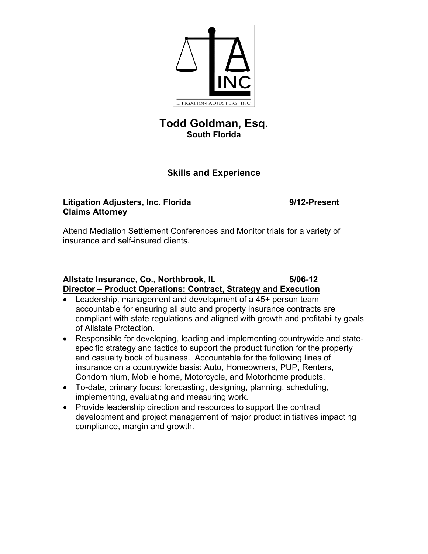

# **Todd Goldman, Esq. South Florida**

# **Skills and Experience**

## **Litigation Adjusters, Inc. Florida 9/12-Present Claims Attorney**

Attend Mediation Settlement Conferences and Monitor trials for a variety of insurance and self-insured clients.

## **Allstate Insurance, Co., Northbrook, IL 5/06-12 Director – Product Operations: Contract, Strategy and Execution**

- Leadership, management and development of a 45+ person team accountable for ensuring all auto and property insurance contracts are compliant with state regulations and aligned with growth and profitability goals of Allstate Protection.
- Responsible for developing, leading and implementing countrywide and statespecific strategy and tactics to support the product function for the property and casualty book of business. Accountable for the following lines of insurance on a countrywide basis: Auto, Homeowners, PUP, Renters, Condominium, Mobile home, Motorcycle, and Motorhome products.
- To-date, primary focus: forecasting, designing, planning, scheduling, implementing, evaluating and measuring work.
- Provide leadership direction and resources to support the contract development and project management of major product initiatives impacting compliance, margin and growth.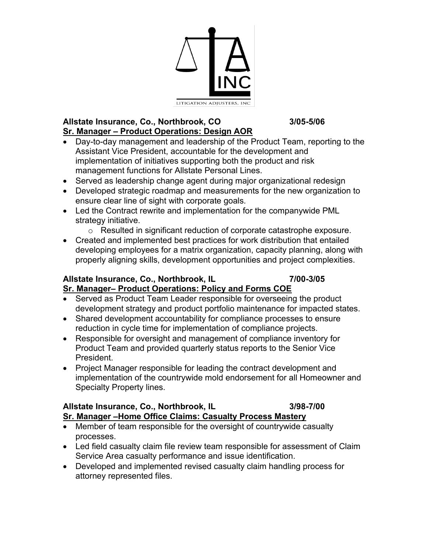

## **Allstate Insurance, Co., Northbrook, CO 3/05-5/06 Sr. Manager – Product Operations: Design AOR**

- Day-to-day management and leadership of the Product Team, reporting to the Assistant Vice President, accountable for the development and implementation of initiatives supporting both the product and risk management functions for Allstate Personal Lines.
- Served as leadership change agent during major organizational redesign
- Developed strategic roadmap and measurements for the new organization to ensure clear line of sight with corporate goals.
- Led the Contract rewrite and implementation for the companywide PML strategy initiative.
	- o Resulted in significant reduction of corporate catastrophe exposure.
- Created and implemented best practices for work distribution that entailed developing employees for a matrix organization, capacity planning, along with properly aligning skills, development opportunities and project complexities.

# **Allstate Insurance, Co., Northbrook, IL 7/00-3/05 Sr. Manager– Product Operations: Policy and Forms COE**

- Served as Product Team Leader responsible for overseeing the product development strategy and product portfolio maintenance for impacted states.
- Shared development accountability for compliance processes to ensure reduction in cycle time for implementation of compliance projects.
- Responsible for oversight and management of compliance inventory for Product Team and provided quarterly status reports to the Senior Vice President.
- Project Manager responsible for leading the contract development and implementation of the countrywide mold endorsement for all Homeowner and Specialty Property lines.

#### **Allstate Insurance, Co., Northbrook, IL 3/98-7/00 Sr. Manager –Home Office Claims: Casualty Process Mastery**

- Member of team responsible for the oversight of countrywide casualty processes.
- Led field casualty claim file review team responsible for assessment of Claim Service Area casualty performance and issue identification.
- Developed and implemented revised casualty claim handling process for attorney represented files.